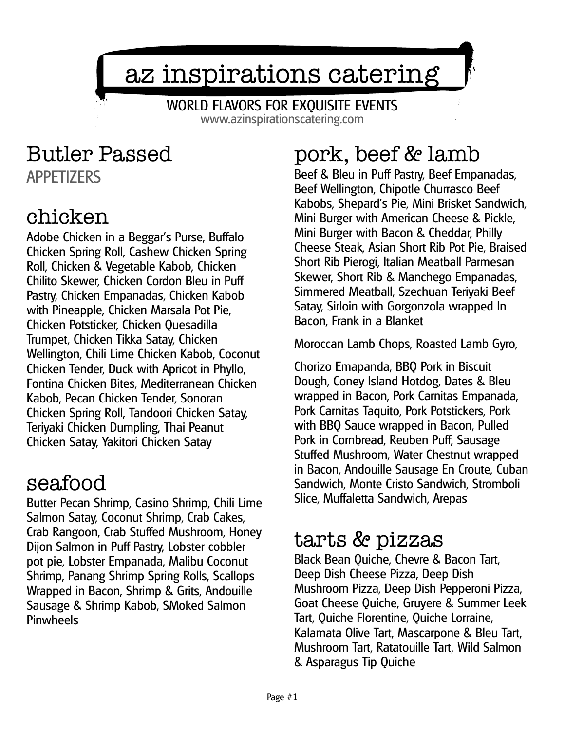# az inspirations catering

WORLD FLAVORS FOR EXQUISITE EVENTS www.azinspirationscatering.com

### Butler Passed APPETIZERS

### chicken

Adobe Chicken in a Beggar's Purse, Buffalo Chicken Spring Roll, Cashew Chicken Spring Roll, Chicken & Vegetable Kabob, Chicken Chilito Skewer, Chicken Cordon Bleu in Puff Pastry, Chicken Empanadas, Chicken Kabob with Pineapple, Chicken Marsala Pot Pie, Chicken Potsticker, Chicken Quesadilla Trumpet, Chicken Tikka Satay, Chicken Wellington, Chili Lime Chicken Kabob, Coconut Chicken Tender, Duck with Apricot in Phyllo, Fontina Chicken Bites, Mediterranean Chicken Kabob, Pecan Chicken Tender, Sonoran Chicken Spring Roll, Tandoori Chicken Satay, Teriyaki Chicken Dumpling, Thai Peanut Chicken Satay, Yakitori Chicken Satay

### seafood

Butter Pecan Shrimp, Casino Shrimp, Chili Lime Salmon Satay, Coconut Shrimp, Crab Cakes, Crab Rangoon, Crab Stuffed Mushroom, Honey Dijon Salmon in Puff Pastry, Lobster cobbler pot pie, Lobster Empanada, Malibu Coconut Shrimp, Panang Shrimp Spring Rolls, Scallops Wrapped in Bacon, Shrimp & Grits, Andouille Sausage & Shrimp Kabob, SMoked Salmon **Pinwheels** 

# pork, beef & lamb

Beef & Bleu in Puff Pastry, Beef Empanadas, Beef Wellington, Chipotle Churrasco Beef Kabobs, Shepard's Pie, Mini Brisket Sandwich, Mini Burger with American Cheese & Pickle, Mini Burger with Bacon & Cheddar, Philly Cheese Steak, Asian Short Rib Pot Pie, Braised Short Rib Pierogi, Italian Meatball Parmesan Skewer, Short Rib & Manchego Empanadas, Simmered Meatball, Szechuan Teriyaki Beef Satay, Sirloin with Gorgonzola wrapped In Bacon, Frank in a Blanket

Moroccan Lamb Chops, Roasted Lamb Gyro,

Chorizo Emapanda, BBQ Pork in Biscuit Dough, Coney Island Hotdog, Dates & Bleu wrapped in Bacon, Pork Carnitas Empanada, Pork Carnitas Taquito, Pork Potstickers, Pork with BBQ Sauce wrapped in Bacon, Pulled Pork in Cornbread, Reuben Puff, Sausage Stuffed Mushroom, Water Chestnut wrapped in Bacon, Andouille Sausage En Croute, Cuban Sandwich, Monte Cristo Sandwich, Stromboli Slice, Muffaletta Sandwich, Arepas

### tarts & pizzas

Black Bean Quiche, Chevre & Bacon Tart, Deep Dish Cheese Pizza, Deep Dish Mushroom Pizza, Deep Dish Pepperoni Pizza, Goat Cheese Quiche, Gruyere & Summer Leek Tart, Quiche Florentine, Quiche Lorraine, Kalamata Olive Tart, Mascarpone & Bleu Tart, Mushroom Tart, Ratatouille Tart, Wild Salmon & Asparagus Tip Quiche